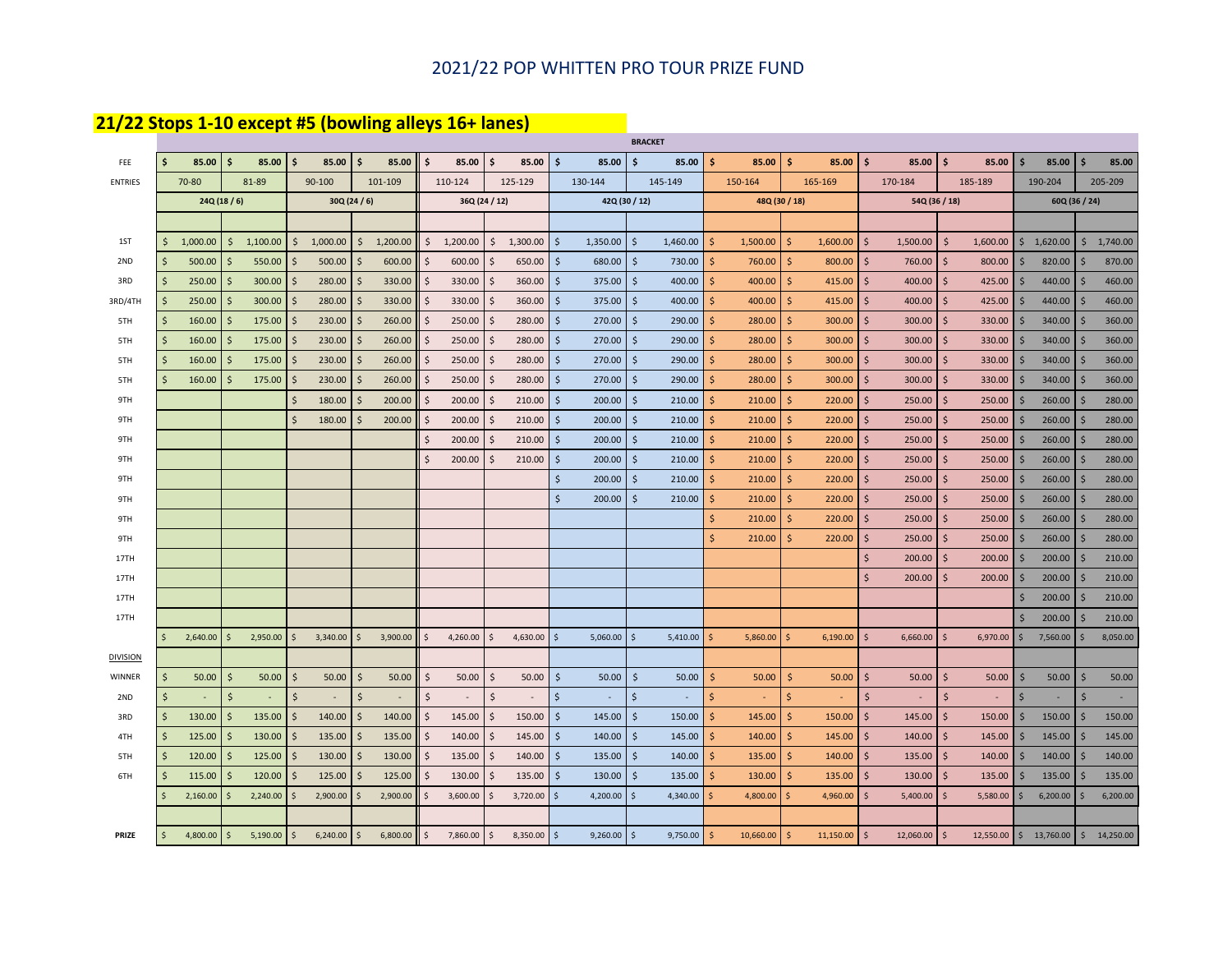## 2021/22 POP WHITTEN PRO TOUR PRIZE FUND

## **21/22 Stops 1-10 except #5 (bowling alleys 16+ lanes)**

|                 |              |           |                              |                                |                          |                             |                  |                     |               | <b>BRACKET</b>      |          |     |               |     |                |                    |                          |                              |                     |                        |               |           |
|-----------------|--------------|-----------|------------------------------|--------------------------------|--------------------------|-----------------------------|------------------|---------------------|---------------|---------------------|----------|-----|---------------|-----|----------------|--------------------|--------------------------|------------------------------|---------------------|------------------------|---------------|-----------|
| FEE             | Ŝ            | 85.00     | Ś<br>85.00                   | Ŝ.<br>85.00                    | ∣ \$<br>85.00            | .\$<br>85.00                | l S<br>85.00     | \$                  | 85.00         | Ŝ.                  | 85.00    | Ŝ.  | 85.00         | -Ś  | 85.00          | Ś.                 | 85.00                    | \$.<br>85.00                 | -\$                 | 85.00                  | Ŝ.            | 85.00     |
| <b>ENTRIES</b>  |              | 70-80     | 81-89                        | 90-100                         | 101-109                  | 110-124                     | 125-129          |                     | 130-144       | 145-149             |          |     | 150-164       |     | 165-169        |                    | 170-184                  | 185-189                      |                     | 190-204                |               | 205-209   |
|                 |              | 24Q(18/6) |                              |                                | 30Q(24/6)                |                             | 36Q (24 / 12)    |                     | 42Q (30 / 12) |                     |          |     | 48Q (30 / 18) |     |                |                    | 54Q (36 / 18)            |                              |                     | 60Q (36 / 24)          |               |           |
|                 |              |           |                              |                                |                          |                             |                  |                     |               |                     |          |     |               |     |                |                    |                          |                              |                     |                        |               |           |
| 1ST             | \$           | 1,000.00  | 1,100.00<br>\$               | $\zeta$<br>1,000.00            | $\mathsf{S}$<br>1,200.00 | \$<br>1,200.00              | \$<br>1,300.00   | $\ddot{\mathsf{s}}$ | 1,350.00      | $\zeta$             | 1,460.00 | Ŝ.  | 1,500.00      | -\$ | 1,600.00       | \$                 | 1,500.00                 | Ŝ<br>1,600.00                | \$                  | 1,620.00               | \$            | 1,740.00  |
| 2ND             | Ŝ            | 500.00    | 550.00<br>Ś                  | <sup>5</sup><br>500.00         | <b>S</b><br>600.00       | Ś<br>600.00                 | \$<br>650.00     | $\ddot{\mathsf{S}}$ | 680.00        | $\ddot{\mathsf{S}}$ | 730.00   | Ŝ.  | 760.00        | S.  | 800.00         | \$                 | 760.00                   | Ŝ.<br>800.00                 | Ŝ.                  | 820.00                 | <sup>5</sup>  | 870.00    |
| 3RD             | Ŝ            | 250.00    | Ś<br>300.00                  | Ŝ.<br>280.00                   | 330.00<br>-\$            | \$<br>330.00                | 360.00<br>\$.    | $\ddot{\mathsf{S}}$ | 375.00        | $\ddot{\mathsf{S}}$ | 400.00   | S.  | 400.00        | -Ś  | 415.00         | \$                 | 400.00                   | \$<br>425.00                 | \$                  | 440.00                 | Ŝ.            | 460.00    |
| 3RD/4TH         | <sup>5</sup> | 250.00    | $\mathsf{\hat{S}}$<br>300.00 | Ŝ.<br>280.00                   | 330.00<br>-S             | $\mathsf{S}$<br>330.00      | Ŝ.<br>360.00     | $\mathsf{S}$        | 375.00        | $\zeta$             | 400.00   | Ś.  | 400.00        | Š.  | 415.00         | $\mathsf{\hat{S}}$ | 400.00                   | Ś<br>425.00                  | -Ś                  | 440.00                 | <sup>5</sup>  | 460.00    |
| 5TH             | -Ś           | 160.00    | \$<br>175.00                 | 230.00<br>-\$                  | 260.00<br>- \$           | S.<br>250.00                | 280.00<br>-S     | \$                  | 270.00        | -\$                 | 290.00   | -Ś  | 280.00        | -Ś  | 300.00         | \$                 | 300.00                   | 330.00<br>-S                 | \$                  | 340.00                 | <sup>\$</sup> | 360.00    |
| 5TH             | -Ś           | 160.00    | 175.00<br>\$                 | 230.00<br>\$                   | 260.00                   | 250.00<br>Ŝ.                | 280.00<br>\$.    | \$                  | 270.00        | -\$                 | 290.00   | Ŝ   | 280.00        |     | 300.00         | \$                 | 300.00                   | 330.00<br>Ś                  | -S                  | 340.00                 | <sup>\$</sup> | 360.00    |
| 5TH             | .\$          | 160.00    | 175.00<br>Ŝ.                 | 230.00<br>-\$                  | 260.00                   | Ŝ.<br>250.00                | 280.00<br>-S     | -\$                 | 270.00        | -\$                 | 290.00   | s   | 280.00        |     | 300.00         | \$                 | 300.00                   | 330.00<br>Ŝ                  | -\$                 | 340.00                 |               | 360.00    |
| 5TH             | <sup>5</sup> | 160.00    | 175.00<br>Ŝ                  | 230.00<br>-\$                  | 260.00<br><b>S</b>       | \$<br>250.00                | 280.00<br>-Ŝ     | \$                  | 270.00        | -\$                 | 290.00   | S.  | 280.00        | -Ś  | 300.00         | \$                 | 300.00                   | 330.00<br>-S                 | -\$                 | 340.00                 | <sup>\$</sup> | 360.00    |
| 9TH             |              |           |                              | $\mathsf{\hat{S}}$<br>180.00   | 200.00<br>5              | $\zeta$<br>200.00           | 210.00<br>\$     | $\ddot{\mathsf{S}}$ | 200.00        | $\ddot{\mathsf{S}}$ | 210.00   | \$  | 210.00        | -Ś  | 220.00         | \$                 | 250.00                   | 250.00<br>\$                 | $\ddot{\mathsf{S}}$ | 260.00                 | Ŝ.            | 280.00    |
| 9TH             |              |           |                              | $\mathsf{\hat{S}}$<br>180.00   | 200.00<br>-S             | \$<br>200.00                | 210.00<br>S.     | $\mathsf{S}$        | 200.00        | \$                  | 210.00   | S.  | 210.00        | -Ś  | 220.00         | \$                 | 250.00                   | \$<br>250.00                 | \$                  | 260.00                 | <sup>\$</sup> | 280.00    |
| 9TH             |              |           |                              |                                |                          | Ś<br>200.00                 | 210.00<br>Ŝ.     | $\mathsf{S}$        | 200.00        | $\ddot{\mathsf{s}}$ | 210.00   | Ś.  | 210.00        | -Ś  | 220.00         | \$                 | 250.00                   | $\mathsf{\hat{S}}$<br>250.00 | $\ddot{\mathsf{s}}$ | 260.00                 | Ŝ.            | 280.00    |
| 9TH             |              |           |                              |                                |                          | \$<br>200.00                | 210.00           | $\ddot{\mathsf{S}}$ | 200.00        | $\ddot{\mathsf{S}}$ | 210.00   | Ŝ.  | 210.00        | -Ś  | 220.00         | \$                 | 250.00                   | \$<br>250.00                 | Ŝ.                  | 260.00                 | <sup>\$</sup> | 280.00    |
| 9TH             |              |           |                              |                                |                          |                             |                  | $\zeta$             | 200.00        | $\ddot{\mathsf{S}}$ | 210.00   | Ŝ.  | 210.00        | S.  | 220.00         | \$                 | 250.00                   | Ŝ.<br>250.00                 | Ŝ.                  | 260.00                 | <sup>\$</sup> | 280.00    |
| 9TH             |              |           |                              |                                |                          |                             |                  | $\zeta$             | 200.00        | $\ddot{\mathsf{S}}$ | 210.00   | Ŝ.  | 210.00        | -Ś  | 220.00         | \$                 | 250.00                   | \$<br>250.00                 | \$                  | 260.00                 | Ŝ.            | 280.00    |
| 9TH             |              |           |                              |                                |                          |                             |                  |                     |               |                     |          | \$. | 210.00        | Š.  | 220.00         | $\mathsf{S}$       | 250.00                   | Ś<br>250.00                  | -Ś                  | 260.00                 | <sup>\$</sup> | 280.00    |
| 9TH             |              |           |                              |                                |                          |                             |                  |                     |               |                     |          | \$. | 210.00        |     | 220.00         | \$                 | 250.00                   | 250.00<br>-S                 | -\$                 | 260.00                 | <sup>\$</sup> | 280.00    |
| 17TH            |              |           |                              |                                |                          |                             |                  |                     |               |                     |          |     |               |     |                | \$                 | 200.00                   | 200.00<br>\$                 | -S                  | 200.00                 | <sup>\$</sup> | 210.00    |
| 17TH            |              |           |                              |                                |                          |                             |                  |                     |               |                     |          |     |               |     |                | \$                 | 200.00                   | Ŝ<br>200.00                  | Ŝ.                  | 200.00                 | Ŝ.            | 210.00    |
| 17TH            |              |           |                              |                                |                          |                             |                  |                     |               |                     |          |     |               |     |                |                    |                          |                              | Ŝ.                  | 200.00                 | Ŝ.            | 210.00    |
| 17TH            |              |           |                              |                                |                          |                             |                  |                     |               |                     |          |     |               |     |                |                    |                          |                              | Ś                   | 200.00                 | <sup>5</sup>  | 210.00    |
|                 | $\mathsf{S}$ | 2,640.00  | 2,950.00<br>\$               | \$<br>3,340.00                 | l \$<br>3,900.00         | \$<br>4,260.00              | 4,630.00<br>I \$ | \$                  | 5,060.00      | $\ddot{\mathsf{s}}$ | 5,410.00 | Ś   | 5,860.00      |     | 6,190.00       | $\mathsf{S}$       | 6,660.00                 | $\mathsf{S}$<br>6,970.00     | $\vert$ \$          | 7,560.00               | S.            | 8,050.00  |
| <b>DIVISION</b> |              |           |                              |                                |                          |                             |                  |                     |               |                     |          |     |               |     |                |                    |                          |                              |                     |                        |               |           |
| WINNER          | \$           | 50.00     | \$<br>50.00                  | -\$<br>50.00                   | -\$<br>50.00             | $\ddot{\varsigma}$<br>50.00 | \$<br>50.00      | $\ddot{\mathsf{S}}$ | 50.00         | $\ddot{\mathsf{S}}$ | 50.00    | Ŝ   | 50.00         | Ŝ.  | 50.00          | $\mathsf{\hat{S}}$ | 50.00                    | \$<br>50.00                  | $\ddot{\varsigma}$  | 50.00                  | -\$           | 50.00     |
| 2ND             | Ŝ.           |           | Ś.                           | -Ś<br>$\overline{\phantom{a}}$ | $\overline{\phantom{a}}$ | \$<br>$\sim$                | Ŝ.<br>$\sim$     | \$                  | $\sim$        | -\$                 |          | Ŝ.  | $\sim$        |     | $\blacksquare$ | Ŝ.                 | $\overline{\phantom{a}}$ | Ś<br>$\sim$                  | <sup>5</sup>        |                        | S.            | $\sim$    |
| 3RD             | \$           | 130.00    | Ś.<br>135.00                 | Ŝ.<br>140.00                   | 140.00<br>\$             | \$<br>145.00                | \$<br>150.00     | $\ddot{\mathsf{S}}$ | 145.00        | -\$                 | 150.00   | S.  | 145.00        | -S  | 150.00         | \$                 | 145.00                   | \$<br>150.00                 | \$                  | 150.00                 | Ŝ.            | 150.00    |
| 4TH             | $\zeta$      | 125.00    | \$<br>130.00                 | <sup>5</sup><br>135.00         | 135.00<br>- \$           | $\zeta$<br>140.00           | 145.00<br>S.     | $\mathsf{S}$        | 140.00        | $\ddot{\mathsf{s}}$ | 145.00   | Ŝ.  | 140.00        | S.  | 145.00         | \$                 | 140.00                   | Ś<br>145.00                  | Ŝ.                  | 145.00                 | <sup>5</sup>  | 145.00    |
| 5TH             | -Ś           | 120.00    | 125.00<br>Ŝ.                 | 130.00<br>\$                   | 130.00<br>- S            | Ś<br>135.00                 | 140.00<br>Ŝ.     | $\ddot{\mathsf{S}}$ | 135.00        | $\ddot{\mathsf{s}}$ | 140.00   | \$. | 135.00        | -Ś  | 140.00         | \$                 | 135.00                   | 140.00<br>-Ś                 | \$                  | 140.00                 | <sup>5</sup>  | 140.00    |
| 6TH             | <sup>5</sup> | 115.00    | 120.00<br>.S                 | 125.00<br><sup>\$</sup>        | 125.00                   | 130.00<br>Ŝ.                | 135.00<br>-S     | $\mathsf{\hat{S}}$  | 130.00        | -\$                 | 135.00   |     | 130.00        |     | 135.00         | $\mathsf{\hat{S}}$ | 130.00                   | 135.00<br><sup>\$</sup>      | -S                  | 135.00                 |               | 135.00    |
|                 |              | 2,160.00  | 2,240.00                     | 2,900.00                       | 2,900.00<br>- s          | 3,600.00<br>\$              | 3,720.00         | $\mathsf{S}$        | 4,200.00      | $\mathsf{\$}$       | 4,340.00 |     | 4,800.00      |     | 4,960.00       |                    | 5,400.00                 | 5,580.00                     |                     | 6,200.00               |               | 6,200.00  |
|                 |              |           |                              |                                |                          |                             |                  |                     |               |                     |          |     |               |     |                |                    |                          |                              |                     |                        |               |           |
| PRIZE           | <sub>S</sub> | 4,800.00  | 5,190.00<br>$\mathsf{S}$     | 6,240.00<br>\$                 | 6,800.00<br>ا \$         | $\zeta$<br>7,860.00 \$      | 8,350.00         | $\mathsf{S}$        | 9,260.00      | $\ddot{\mathsf{s}}$ | 9,750.00 | -Ś  | 10,660.00     |     | $11,150.00$ \$ |                    | 12,060.00                | -Ś                           |                     | 12,550.00 \$ 13,760.00 | $\mathsf{S}$  | 14,250.00 |